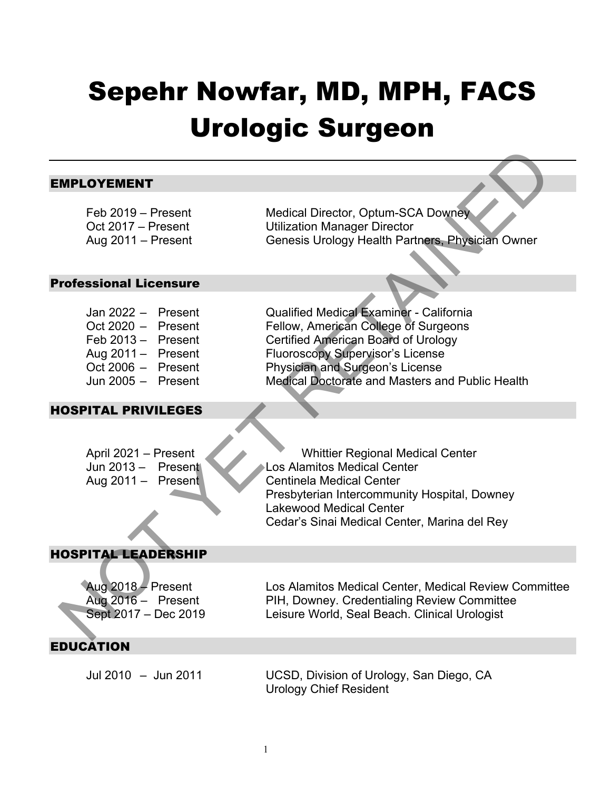# Sepehr Nowfar, MD, MPH, FACS Urologic Surgeon

#### EMPLOYEMENT

Feb 2019 – Present Medical Director, Optum-SCA Downey<br>Oct 2017 – Present Utilization Manager Director **Utilization Manager Director** Aug 2011 – Present Genesis Urology Health Partners, Physician Owner

#### Professional Licensure

| Jan 2022 –   | Present |
|--------------|---------|
| Oct $2020 -$ | Present |
| Feb 2013-    | Present |
| Aug 2011-    | Present |
| Oct 2006 $-$ | Present |
| Jun 2005 -   | Present |

#### HOSPITAL PRIVILEGES

Qualified Medical Examiner - California Fellow, American College of Surgeons Certified American Board of Urology Fluoroscopy Supervisor's License Physician and Surgeon's License Medical Doctorate and Masters and Public Health MPLOYEMENT<br>
Feb 2019 – Present Unitation Manager Director, Optum-SCA Downey<br>
Cct 2017 – Present Unitation Manager Director<br>
Aug 2011 – Present Celebrative California<br>
Cct 2020 – Present Fellow, American College of Surgeons

April 2021 – Present Whittier Regional Medical Center Jun 2013 – Present Los Alamitos Medical Center Aug 2011 – Present Centinela Medical Center Presbyterian Intercommunity Hospital, Downey Lakewood Medical Center Cedar's Sinai Medical Center, Marina del Rey

#### HOSPITAL LEADERSHIP

Aug 2018 – Present Los Alamitos Medical Center, Medical Review Committee Aug 2016 – Present PIH, Downey. Credentialing Review Committee Sept 2017 – Dec 2019 Leisure World, Seal Beach. Clinical Urologist

### EDUCATION

Jul 2010 – Jun 2011 UCSD, Division of Urology, San Diego, CA Urology Chief Resident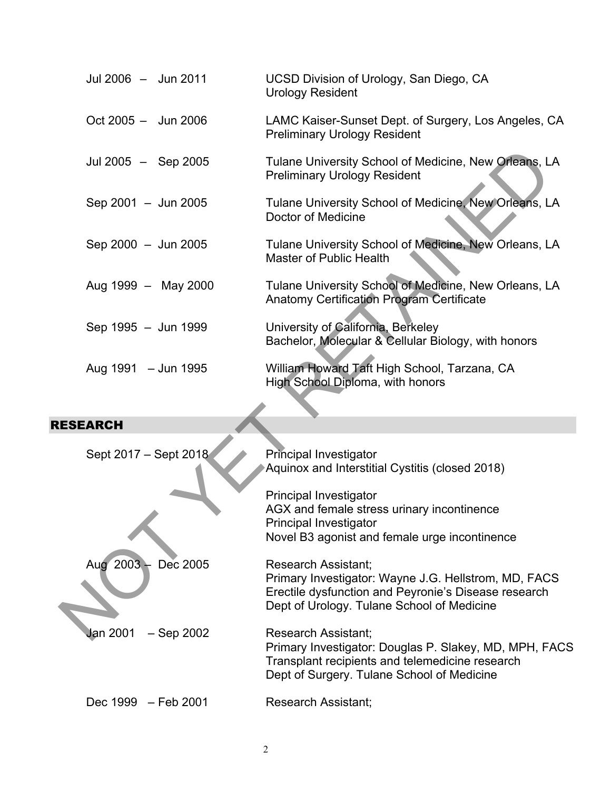| Jul 2006 - Jun 2011             | UCSD Division of Urology, San Diego, CA<br><b>Urology Resident</b>                                                                                                                       |
|---------------------------------|------------------------------------------------------------------------------------------------------------------------------------------------------------------------------------------|
| $Oct 2005 - Jun 2006$           | LAMC Kaiser-Sunset Dept. of Surgery, Los Angeles, CA<br><b>Preliminary Urology Resident</b>                                                                                              |
| Jul 2005 - Sep 2005             | Tulane University School of Medicine, New Orleans, LA<br><b>Preliminary Urology Resident</b>                                                                                             |
| Sep 2001 - Jun 2005             | Tulane University School of Medicine, New Orleans, LA<br>Doctor of Medicine                                                                                                              |
| Sep 2000 - Jun 2005             | Tulane University School of Medicine, New Orleans, LA<br><b>Master of Public Health</b>                                                                                                  |
| Aug 1999 - May 2000             | Tulane University School of Medicine, New Orleans, LA<br><b>Anatomy Certification Program Certificate</b>                                                                                |
| Sep 1995 - Jun 1999             | University of California, Berkeley<br>Bachelor, Molecular & Cellular Biology, with honors                                                                                                |
| Aug 1991 - Jun 1995             | William Howard Taft High School, Tarzana, CA<br>High School Diploma, with honors                                                                                                         |
| <b>ESEARCH</b>                  |                                                                                                                                                                                          |
| Sept 2017 - Sept 2018           | <b>Principal Investigator</b><br>Aquinox and Interstitial Cystitis (closed 2018)                                                                                                         |
|                                 | Principal Investigator<br>AGX and female stress urinary incontinence<br><b>Principal Investigator</b><br>Novel B3 agonist and female urge incontinence                                   |
| Aug 2003 - Dec 2005             | <b>Research Assistant;</b><br>Primary Investigator: Wayne J.G. Hellstrom, MD, FACS<br>Erectile dysfunction and Peyronie's Disease research<br>Dept of Urology. Tulane School of Medicine |
| <b>Jan 2001</b><br>$-$ Sep 2002 | Research Assistant;                                                                                                                                                                      |

## RESEARCH

| Sept 2017 - Sept 2018           | <b>Principal Investigator</b><br>Aquinox and Interstitial Cystitis (closed 2018)                                                                                                         |
|---------------------------------|------------------------------------------------------------------------------------------------------------------------------------------------------------------------------------------|
|                                 | Principal Investigator<br>AGX and female stress urinary incontinence<br>Principal Investigator<br>Novel B3 agonist and female urge incontinence                                          |
| Aug $2003 -$<br>Dec 2005        | <b>Research Assistant:</b><br>Primary Investigator: Wayne J.G. Hellstrom, MD, FACS<br>Erectile dysfunction and Peyronie's Disease research<br>Dept of Urology. Tulane School of Medicine |
| <b>Jan 2001</b><br>$-$ Sep 2002 | Research Assistant:<br>Primary Investigator: Douglas P. Slakey, MD, MPH, FACS<br>Transplant recipients and telemedicine research<br>Dept of Surgery. Tulane School of Medicine           |
| Dec 1999 – Feb 2001             | Research Assistant;                                                                                                                                                                      |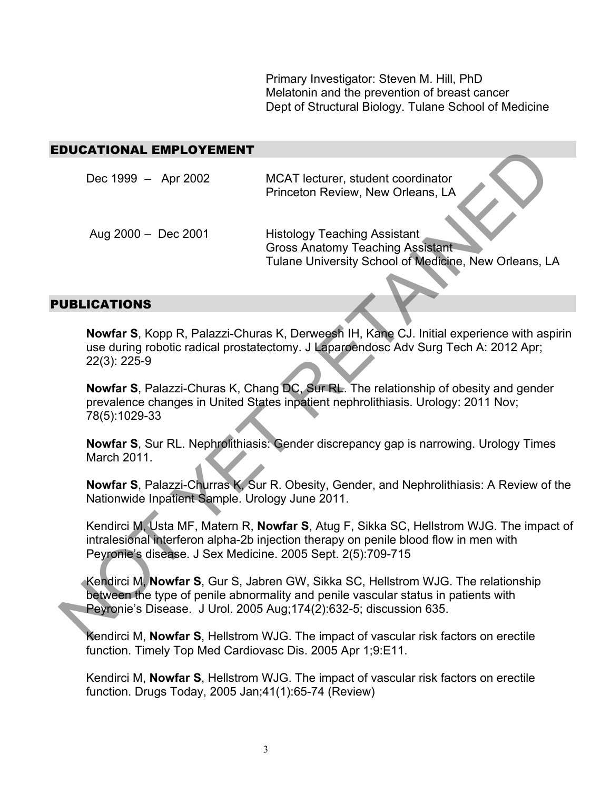Primary Investigator: Steven M. Hill, PhD Melatonin and the prevention of breast cancer Dept of Structural Biology. Tulane School of Medicine

#### EDUCATIONAL EMPLOYEMENT

| DUCATIONAL EMPLOYEMENT                                      |                                                                                                                                                                                                                                                |
|-------------------------------------------------------------|------------------------------------------------------------------------------------------------------------------------------------------------------------------------------------------------------------------------------------------------|
| Dec 1999 - Apr 2002                                         | MCAT lecturer, student coordinator<br>Princeton Review, New Orleans, LA                                                                                                                                                                        |
| Aug $2000 - Dec 2001$                                       | <b>Histology Teaching Assistant</b><br><b>Gross Anatomy Teaching Assistant</b><br>Tulane University School of Medicine, New Orleans, LA                                                                                                        |
| <b>UBLICATIONS</b>                                          |                                                                                                                                                                                                                                                |
| 22(3): 225-9                                                | Nowfar S, Kopp R, Palazzi-Churas K, Derweesh IH, Kane CJ. Initial experience with aspiri<br>use during robotic radical prostatectomy. J Laparoendosc Adv Surg Tech A: 2012 Apr;                                                                |
| 78(5):1029-33                                               | Nowfar S, Palazzi-Churas K, Chang DC, Sur RL. The relationship of obesity and gender<br>prevalence changes in United States inpatient nephrolithiasis. Urology: 2011 Nov;                                                                      |
| March 2011.                                                 | Nowfar S, Sur RL. Nephrolithiasis: Gender discrepancy gap is narrowing. Urology Times                                                                                                                                                          |
| Nationwide Inpatient Sample. Urology June 2011.             | Nowfar S, Palazzi-Churras K, Sur R. Obesity, Gender, and Nephrolithiasis: A Review of the                                                                                                                                                      |
| Peyronie's disease. J Sex Medicine. 2005 Sept. 2(5):709-715 | Kendirci M, Usta MF, Matern R, Nowfar S, Atug F, Sikka SC, Hellstrom WJG. The impact of<br>intralesional interferon alpha-2b injection therapy on penile blood flow in men with                                                                |
|                                                             | Kendirci M, Nowfar S, Gur S, Jabren GW, Sikka SC, Hellstrom WJG. The relationship<br>between the type of penile abnormality and penile vascular status in patients with<br>Peyronie's Disease. J Urol. 2005 Aug; 174(2):632-5; discussion 635. |
|                                                             | Kendirci M. Nowfar S. Hellstrom WJG. The impact of vascular risk factors on erectile                                                                                                                                                           |

#### PUBLICATIONS

Kendirci M, **Nowfar S**, Hellstrom WJG. The impact of vascular risk factors on erectile function. Timely Top Med Cardiovasc Dis. 2005 Apr 1;9:E11.

Kendirci M, **Nowfar S**, Hellstrom WJG. The impact of vascular risk factors on erectile function. Drugs Today, 2005 Jan;41(1):65-74 (Review)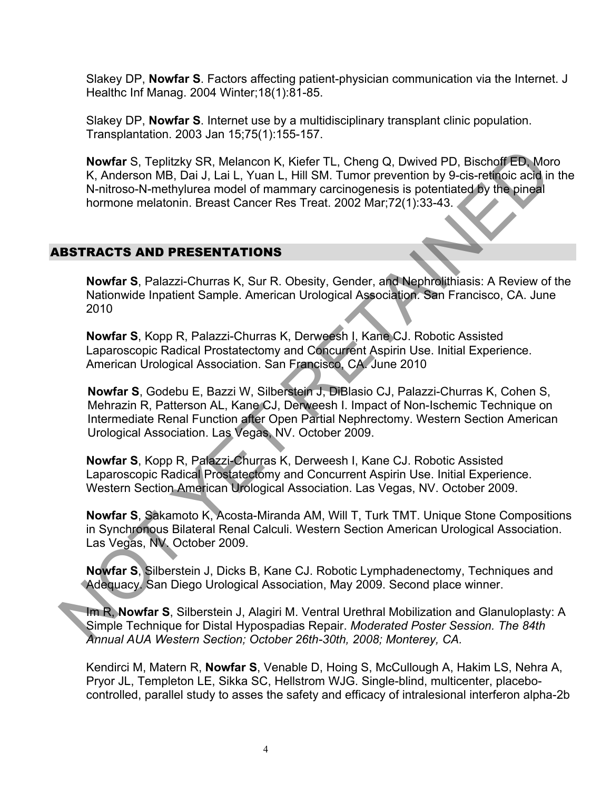Slakey DP, **Nowfar S**. Factors affecting patient-physician communication via the Internet. J Healthc Inf Manag. 2004 Winter;18(1):81-85.

Slakey DP, **Nowfar S**. Internet use by a multidisciplinary transplant clinic population. Transplantation. 2003 Jan 15;75(1):155-157.

**Nowfar** S, Teplitzky SR, Melancon K, Kiefer TL, Cheng Q, Dwived PD, Bischoff ED, Moro K, Anderson MB, Dai J, Lai L, Yuan L, Hill SM. Tumor prevention by 9-cis-retinoic acid in the N-nitroso-N-methylurea model of mammary carcinogenesis is potentiated by the pineal hormone melatonin. Breast Cancer Res Treat. 2002 Mar;72(1):33-43. Nowfar S, Teplitzky SR, Melancon K, Kiefer TL, Cheng Q, Dwived PD, Bischoff ED, Mo<br>
K, Andresson MB, Dai J, Lai L, Yuan L, Hill SM. Tumor prevention by 9-cis-reficiols act<br>
N-nitroso-N-methylurea model of mammary carcinoge

#### ABSTRACTS AND PRESENTATIONS

**Nowfar S**, Palazzi-Churras K, Sur R. Obesity, Gender, and Nephrolithiasis: A Review of the Nationwide Inpatient Sample. American Urological Association. San Francisco, CA. June 2010

**Nowfar S**, Kopp R, Palazzi-Churras K, Derweesh I, Kane CJ. Robotic Assisted Laparoscopic Radical Prostatectomy and Concurrent Aspirin Use. Initial Experience. American Urological Association. San Francisco, CA. June 2010

**Nowfar S**, Godebu E, Bazzi W, Silberstein J, DiBlasio CJ, Palazzi-Churras K, Cohen S, Mehrazin R, Patterson AL, Kane CJ, Derweesh I. Impact of Non-Ischemic Technique on Intermediate Renal Function after Open Partial Nephrectomy. Western Section American Urological Association. Las Vegas, NV. October 2009.

**Nowfar S**, Kopp R, Palazzi-Churras K, Derweesh I, Kane CJ. Robotic Assisted Laparoscopic Radical Prostatectomy and Concurrent Aspirin Use. Initial Experience. Western Section American Urological Association. Las Vegas, NV. October 2009.

**Nowfar S**, Sakamoto K, Acosta-Miranda AM, Will T, Turk TMT. Unique Stone Compositions in Synchronous Bilateral Renal Calculi. Western Section American Urological Association. Las Vegas, NV. October 2009.

**Nowfar S**, Silberstein J, Dicks B, Kane CJ. Robotic Lymphadenectomy, Techniques and Adequacy. San Diego Urological Association, May 2009. Second place winner.

Im R, **Nowfar S**, Silberstein J, Alagiri M. Ventral Urethral Mobilization and Glanuloplasty: A Simple Technique for Distal Hypospadias Repair. *Moderated Poster Session. The 84th Annual AUA Western Section; October 26th-30th, 2008; Monterey, CA.*

Kendirci M, Matern R, **Nowfar S**, Venable D, Hoing S, McCullough A, Hakim LS, Nehra A, Pryor JL, Templeton LE, Sikka SC, Hellstrom WJG. Single-blind, multicenter, placebocontrolled, parallel study to asses the safety and efficacy of intralesional interferon alpha-2b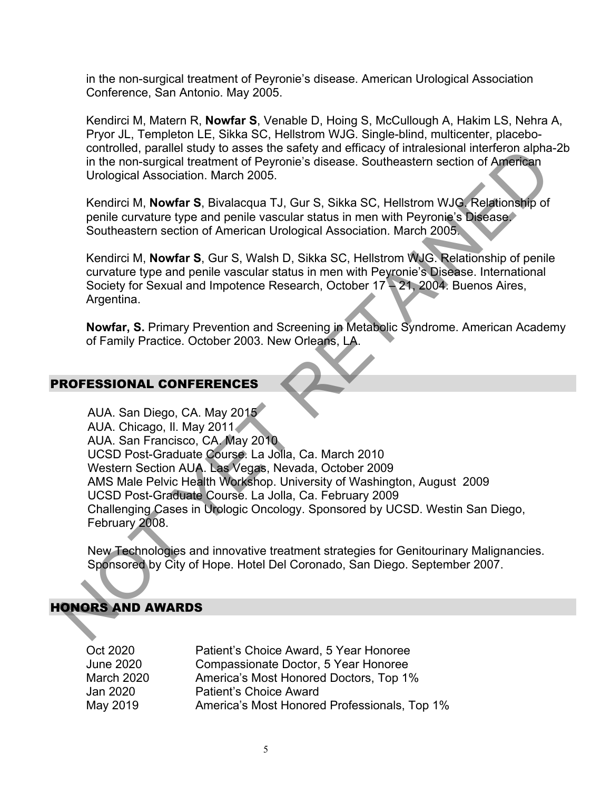in the non-surgical treatment of Peyronie's disease. American Urological Association Conference, San Antonio. May 2005.

Kendirci M, Matern R, **Nowfar S**, Venable D, Hoing S, McCullough A, Hakim LS, Nehra A, Pryor JL, Templeton LE, Sikka SC, Hellstrom WJG. Single-blind, multicenter, placebocontrolled, parallel study to asses the safety and efficacy of intralesional interferon alpha-2b in the non-surgical treatment of Peyronie's disease. Southeastern section of American Urological Association. March 2005.

Kendirci M, **Nowfar S**, Bivalacqua TJ, Gur S, Sikka SC, Hellstrom WJG. Relationship of penile curvature type and penile vascular status in men with Peyronie's Disease. Southeastern section of American Urological Association. March 2005.

Kendirci M, **Nowfar S**, Gur S, Walsh D, Sikka SC, Hellstrom WJG. Relationship of penile curvature type and penile vascular status in men with Peyronie's Disease. International Society for Sexual and Impotence Research, October 17 – 21, 2004. Buenos Aires, Argentina.

**Nowfar, S.** Primary Prevention and Screening in Metabolic Syndrome. American Academy of Family Practice. October 2003. New Orleans, LA.

#### PROFESSIONAL CONFERENCES

AUA. San Diego, CA. May 2015 AUA. Chicago, Il. May 2011 AUA. San Francisco, CA. May 2010 UCSD Post-Graduate Course. La Jolla, Ca. March 2010 Western Section AUA. Las Vegas, Nevada, October 2009 AMS Male Pelvic Health Workshop. University of Washington, August 2009 UCSD Post-Graduate Course. La Jolla, Ca. February 2009 Challenging Cases in Urologic Oncology. Sponsored by UCSD. Westin San Diego, February 2008. controlled, parallel study to asses the salely and elitically consider the first of April The hon-surgical treatment of Peyronie's disease. Southeastern section of Aprilian<br>Urological Association. March 2005.<br>
Nendrick M.

New Technologies and innovative treatment strategies for Genitourinary Malignancies. Sponsored by City of Hope. Hotel Del Coronado, San Diego. September 2007.

#### HONORS AND AWARDS

| Oct 2020   | Patient's Choice Award, 5 Year Honoree       |
|------------|----------------------------------------------|
| June 2020  | Compassionate Doctor, 5 Year Honoree         |
| March 2020 | America's Most Honored Doctors, Top 1%       |
| Jan 2020   | <b>Patient's Choice Award</b>                |
| May 2019   | America's Most Honored Professionals, Top 1% |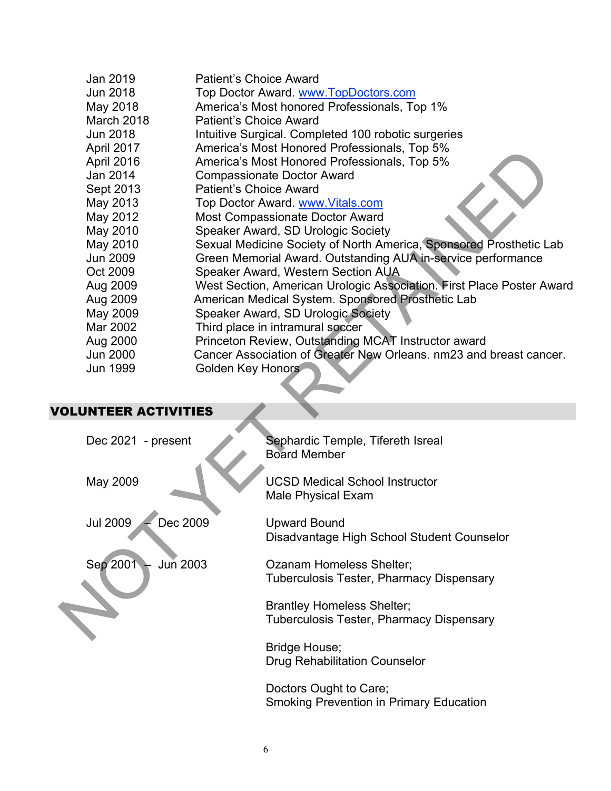| Jan 2019                    | <b>Patient's Choice Award</b> |                                                                       |
|-----------------------------|-------------------------------|-----------------------------------------------------------------------|
| <b>Jun 2018</b>             |                               | Top Doctor Award. www.TopDoctors.com                                  |
| May 2018                    |                               | America's Most honored Professionals, Top 1%                          |
| March 2018                  | <b>Patient's Choice Award</b> |                                                                       |
| <b>Jun 2018</b>             |                               | Intuitive Surgical. Completed 100 robotic surgeries                   |
| April 2017                  |                               | America's Most Honored Professionals, Top 5%                          |
| April 2016                  |                               | America's Most Honored Professionals, Top 5%                          |
| Jan 2014                    |                               | <b>Compassionate Doctor Award</b>                                     |
| Sept 2013                   | <b>Patient's Choice Award</b> |                                                                       |
| May 2013                    |                               | Top Doctor Award. www.Vitals.com                                      |
| May 2012                    |                               | <b>Most Compassionate Doctor Award</b>                                |
| May 2010                    |                               | Speaker Award, SD Urologic Society                                    |
| May 2010                    |                               | Sexual Medicine Society of North America, Sponsored Prosthetic Lab    |
| <b>Jun 2009</b>             |                               | Green Memorial Award. Outstanding AUA in-service performance          |
| Oct 2009                    |                               | Speaker Award, Western Section AUA                                    |
| Aug 2009                    |                               | West Section, American Urologic Association. First Place Poster Award |
| Aug 2009                    |                               | American Medical System. Sponsored Prosthetic Lab                     |
| May 2009                    |                               | Speaker Award, SD Urologic Society                                    |
| Mar 2002                    |                               | Third place in intramural soccer                                      |
| Aug 2000                    |                               | Princeton Review, Outstanding MCAT Instructor award                   |
| <b>Jun 2000</b>             |                               | Cancer Association of Greater New Orleans. nm23 and breast cancer.    |
| Jun 1999                    | <b>Golden Key Honors</b>      |                                                                       |
|                             |                               |                                                                       |
|                             |                               |                                                                       |
| <b>OLUNTEER ACTIVITIES</b>  |                               |                                                                       |
|                             |                               |                                                                       |
| Dec 2021 - present          |                               | Sephardic Temple, Tifereth Isreal<br><b>Board Member</b>              |
|                             |                               |                                                                       |
| May 2009                    |                               | <b>UCSD Medical School Instructor</b>                                 |
|                             |                               | <b>Male Physical Exam</b>                                             |
|                             |                               |                                                                       |
| <b>Jul 2009</b><br>Dec 2009 |                               | <b>Upward Bound</b>                                                   |
|                             |                               | Disadvantage High School Student Counselor                            |
|                             |                               |                                                                       |
| Sep 2001<br>Jun 2003        |                               | Ozanam Homeless Shelter;                                              |
|                             |                               | Tuberculosis Tester, Pharmacy Dispensary                              |
|                             |                               |                                                                       |
|                             |                               | <b>Brantley Homeless Shelter;</b>                                     |
|                             |                               | <b>Tuberculosis Tester, Pharmacy Dispensary</b>                       |
|                             |                               |                                                                       |
|                             |                               |                                                                       |

# VOLUNTEER ACTIVITIES

| Dec 2021 - present          | Sephardic Temple, Tifereth Isreal<br><b>Board Member</b>                      |
|-----------------------------|-------------------------------------------------------------------------------|
| May 2009                    | <b>UCSD Medical School Instructor</b><br><b>Male Physical Exam</b>            |
| <b>Jul 2009</b><br>Dec 2009 | <b>Upward Bound</b><br>Disadvantage High School Student Counselor             |
| Sep 2001<br><b>Jun 2003</b> | Ozanam Homeless Shelter:<br>Tuberculosis Tester, Pharmacy Dispensary          |
|                             | <b>Brantley Homeless Shelter;</b><br>Tuberculosis Tester, Pharmacy Dispensary |
|                             | Bridge House;<br><b>Drug Rehabilitation Counselor</b>                         |
|                             | Doctors Ought to Care;<br><b>Smoking Prevention in Primary Education</b>      |